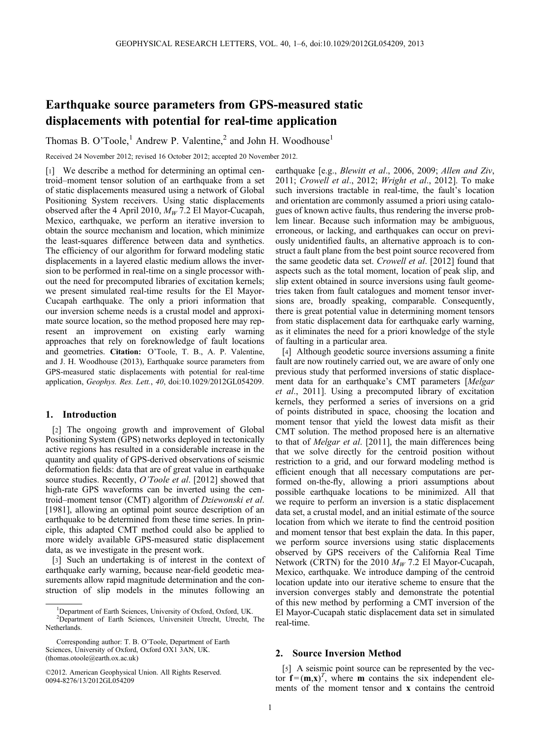# Earthquake source parameters from GPS-measured static displacements with potential for real-time application

Thomas B. O'Toole,<sup>1</sup> Andrew P. Valentine,<sup>2</sup> and John H. Woodhouse<sup>1</sup>

Received 24 November 2012; revised 16 October 2012; accepted 20 November 2012.

[1] We describe a method for determining an optimal centroid–moment tensor solution of an earthquake from a set of static displacements measured using a network of Global Positioning System receivers. Using static displacements observed after the 4 April 2010,  $M_W$  7.2 El Mayor-Cucapah, Mexico, earthquake, we perform an iterative inversion to obtain the source mechanism and location, which minimize the least-squares difference between data and synthetics. The efficiency of our algorithm for forward modeling static displacements in a layered elastic medium allows the inversion to be performed in real-time on a single processor without the need for precomputed libraries of excitation kernels; we present simulated real-time results for the El Mayor-Cucapah earthquake. The only a priori information that our inversion scheme needs is a crustal model and approximate source location, so the method proposed here may represent an improvement on existing early warning approaches that rely on foreknowledge of fault locations and geometries. Citation: O'Toole, T. B., A. P. Valentine, and J. H. Woodhouse (2013), Earthquake source parameters from GPS-measured static displacements with potential for real-time application, Geophys. Res. Lett., 40, doi:10.1029/2012GL054209.

## 1. Introduction

[2] The ongoing growth and improvement of Global Positioning System (GPS) networks deployed in tectonically active regions has resulted in a considerable increase in the quantity and quality of GPS-derived observations of seismic deformation fields: data that are of great value in earthquake source studies. Recently, O'Toole et al. [2012] showed that high-rate GPS waveforms can be inverted using the centroid–moment tensor (CMT) algorithm of Dziewonski et al. [1981], allowing an optimal point source description of an earthquake to be determined from these time series. In principle, this adapted CMT method could also be applied to more widely available GPS-measured static displacement data, as we investigate in the present work.

[3] Such an undertaking is of interest in the context of earthquake early warning, because near-field geodetic measurements allow rapid magnitude determination and the construction of slip models in the minutes following an

earthquake [e.g., Blewitt et al., 2006, 2009; Allen and Ziv, 2011; Crowell et al., 2012; Wright et al., 2012]. To make such inversions tractable in real-time, the fault's location and orientation are commonly assumed a priori using catalogues of known active faults, thus rendering the inverse problem linear. Because such information may be ambiguous, erroneous, or lacking, and earthquakes can occur on previously unidentified faults, an alternative approach is to construct a fault plane from the best point source recovered from the same geodetic data set. Crowell et al. [2012] found that aspects such as the total moment, location of peak slip, and slip extent obtained in source inversions using fault geometries taken from fault catalogues and moment tensor inversions are, broadly speaking, comparable. Consequently, there is great potential value in determining moment tensors from static displacement data for earthquake early warning, as it eliminates the need for a priori knowledge of the style of faulting in a particular area.

[4] Although geodetic source inversions assuming a finite fault are now routinely carried out, we are aware of only one previous study that performed inversions of static displacement data for an earthquake's CMT parameters [Melgar et al., 2011]. Using a precomputed library of excitation kernels, they performed a series of inversions on a grid of points distributed in space, choosing the location and moment tensor that yield the lowest data misfit as their CMT solution. The method proposed here is an alternative to that of Melgar et al. [2011], the main differences being that we solve directly for the centroid position without restriction to a grid, and our forward modeling method is efficient enough that all necessary computations are performed on-the-fly, allowing a priori assumptions about possible earthquake locations to be minimized. All that we require to perform an inversion is a static displacement data set, a crustal model, and an initial estimate of the source location from which we iterate to find the centroid position and moment tensor that best explain the data. In this paper, we perform source inversions using static displacements observed by GPS receivers of the California Real Time Network (CRTN) for the 2010  $M_W$  7.2 El Mayor-Cucapah, Mexico, earthquake. We introduce damping of the centroid location update into our iterative scheme to ensure that the inversion converges stably and demonstrate the potential of this new method by performing a CMT inversion of the El Mayor-Cucapah static displacement data set in simulated real-time.

### 2. Source Inversion Method

[5] A seismic point source can be represented by the vector  $f = (m, x)^T$ , where **m** contains the six independent elements of the moment tensor and x contains the centroid

<sup>&</sup>lt;sup>1</sup>Department of Earth Sciences, University of Oxford, Oxford, UK. 2 Department of Earth Sciences, Universiteit Utrecht, Utrecht, The

**Netherlands** 

Corresponding author: T. B. O'Toole, Department of Earth Sciences, University of Oxford, Oxford OX1 3AN, UK. (thomas.otoole@earth.ox.ac.uk)

<sup>©2012.</sup> American Geophysical Union. All Rights Reserved. 0094-8276/13/2012GL054209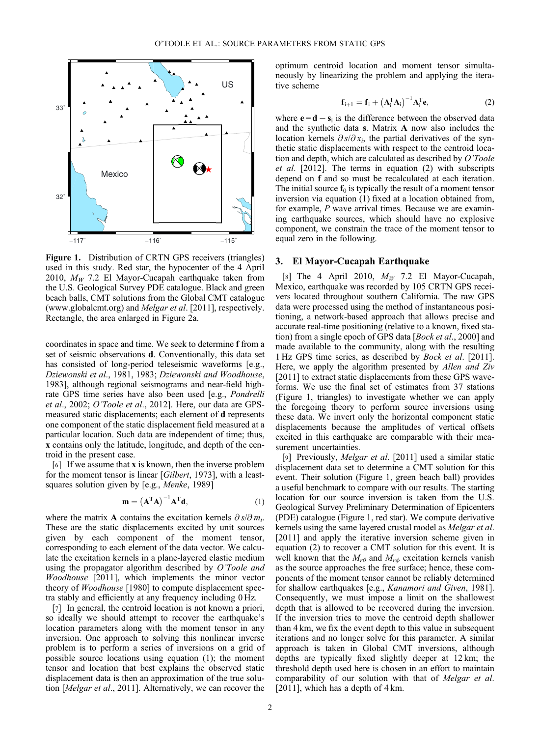

Figure 1. Distribution of CRTN GPS receivers (triangles) used in this study. Red star, the hypocenter of the 4 April 2010,  $M_W$  7.2 El Mayor-Cucapah earthquake taken from the U.S. Geological Survey PDE catalogue. Black and green beach balls, CMT solutions from the Global CMT catalogue [\(www.globalcmt.org\)](http://www.globalcmt.org) and Melgar et al. [2011], respectively. Rectangle, the area enlarged in Figure 2a.

coordinates in space and time. We seek to determine f from a set of seismic observations d. Conventionally, this data set has consisted of long-period teleseismic waveforms [e.g., Dziewonski et al., 1981, 1983; Dziewonski and Woodhouse, 1983], although regional seismograms and near-field highrate GPS time series have also been used [e.g., Pondrelli et al., 2002; O'Toole et al., 2012]. Here, our data are GPSmeasured static displacements; each element of d represents one component of the static displacement field measured at a particular location. Such data are independent of time; thus, x contains only the latitude, longitude, and depth of the centroid in the present case.

[6] If we assume that x is known, then the inverse problem for the moment tensor is linear [Gilbert, 1973], with a leastsquares solution given by [e.g., Menke, 1989]

$$
\mathbf{m} = \left(\mathbf{A}^{\mathrm{T}}\mathbf{A}\right)^{-1}\mathbf{A}^{\mathrm{T}}\mathbf{d},\tag{1}
$$

where the matrix **A** contains the excitation kernels  $\partial s/\partial m_i$ . These are the static displacements excited by unit sources given by each component of the moment tensor, corresponding to each element of the data vector. We calculate the excitation kernels in a plane-layered elastic medium using the propagator algorithm described by O'Toole and Woodhouse [2011], which implements the minor vector theory of Woodhouse [1980] to compute displacement spectra stably and efficiently at any frequency including 0 Hz.

[7] In general, the centroid location is not known a priori, so ideally we should attempt to recover the earthquake's location parameters along with the moment tensor in any inversion. One approach to solving this nonlinear inverse problem is to perform a series of inversions on a grid of possible source locations using equation (1); the moment tensor and location that best explains the observed static displacement data is then an approximation of the true solution [Melgar et al., 2011]. Alternatively, we can recover the

optimum centroid location and moment tensor simultaneously by linearizing the problem and applying the iterative scheme

$$
\mathbf{f}_{i+1} = \mathbf{f}_i + \left(\mathbf{A}_i^{\mathrm{T}} \mathbf{A}_i\right)^{-1} \mathbf{A}_i^{\mathrm{T}} \mathbf{e},\tag{2}
$$

where  $\mathbf{e} = \mathbf{d} - \mathbf{s}_i$  is the difference between the observed data and the synthetic data s. Matrix A now also includes the location kernels  $\partial s/\partial x_i$ , the partial derivatives of the synthetic static displacements with respect to the centroid location and depth, which are calculated as described by O'Toole et al. [2012]. The terms in equation (2) with subscripts depend on f and so must be recalculated at each iteration. The initial source  $f_0$  is typically the result of a moment tensor inversion via equation (1) fixed at a location obtained from, for example,  $P$  wave arrival times. Because we are examining earthquake sources, which should have no explosive component, we constrain the trace of the moment tensor to equal zero in the following.

## 3. El Mayor-Cucapah Earthquake

[8] The 4 April 2010,  $M_W$  7.2 El Mayor-Cucapah, Mexico, earthquake was recorded by 105 CRTN GPS receivers located throughout southern California. The raw GPS data were processed using the method of instantaneous positioning, a network-based approach that allows precise and accurate real-time positioning (relative to a known, fixed station) from a single epoch of GPS data [Bock et al., 2000] and made available to the community, along with the resulting 1 Hz GPS time series, as described by Bock et al. [2011]. Here, we apply the algorithm presented by *Allen and Ziv* [2011] to extract static displacements from these GPS waveforms. We use the final set of estimates from 37 stations (Figure 1, triangles) to investigate whether we can apply the foregoing theory to perform source inversions using these data. We invert only the horizontal component static displacements because the amplitudes of vertical offsets excited in this earthquake are comparable with their measurement uncertainties.

[9] Previously, Melgar et al. [2011] used a similar static displacement data set to determine a CMT solution for this event. Their solution (Figure 1, green beach ball) provides a useful benchmark to compare with our results. The starting location for our source inversion is taken from the U.S. Geological Survey Preliminary Determination of Epicenters (PDE) catalogue (Figure 1, red star). We compute derivative kernels using the same layered crustal model as Melgar et al. [2011] and apply the iterative inversion scheme given in equation (2) to recover a CMT solution for this event. It is well known that the  $M_{r\theta}$  and  $M_{r\phi}$  excitation kernels vanish as the source approaches the free surface; hence, these components of the moment tensor cannot be reliably determined for shallow earthquakes [e.g., Kanamori and Given, 1981]. Consequently, we must impose a limit on the shallowest depth that is allowed to be recovered during the inversion. If the inversion tries to move the centroid depth shallower than 4 km, we fix the event depth to this value in subsequent iterations and no longer solve for this parameter. A similar approach is taken in Global CMT inversions, although depths are typically fixed slightly deeper at 12 km; the threshold depth used here is chosen in an effort to maintain comparability of our solution with that of Melgar et al. [2011], which has a depth of  $4 \text{ km}$ .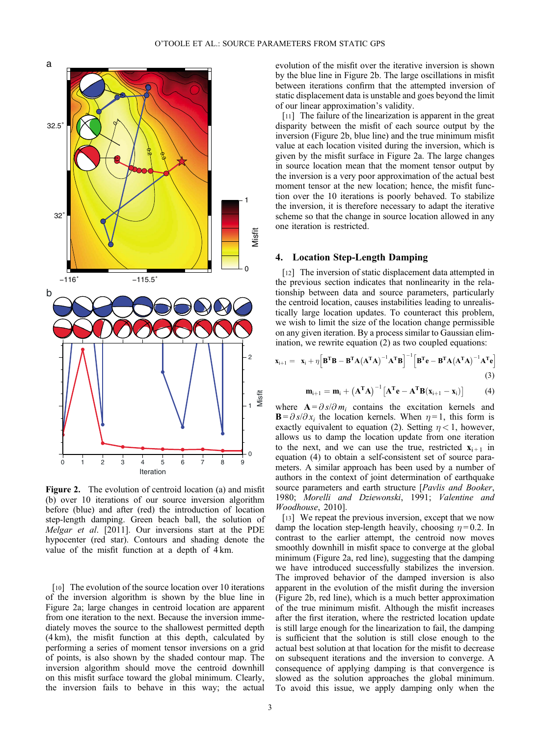

Figure 2. The evolution of centroid location (a) and misfit (b) over 10 iterations of our source inversion algorithm before (blue) and after (red) the introduction of location step-length damping. Green beach ball, the solution of Melgar et al. [2011]. Our inversions start at the PDE hypocenter (red star). Contours and shading denote the value of the misfit function at a depth of 4 km.

[10] The evolution of the source location over 10 iterations of the inversion algorithm is shown by the blue line in Figure 2a; large changes in centroid location are apparent from one iteration to the next. Because the inversion immediately moves the source to the shallowest permitted depth (4 km), the misfit function at this depth, calculated by performing a series of moment tensor inversions on a grid of points, is also shown by the shaded contour map. The inversion algorithm should move the centroid downhill on this misfit surface toward the global minimum. Clearly, the inversion fails to behave in this way; the actual

evolution of the misfit over the iterative inversion is shown by the blue line in Figure 2b. The large oscillations in misfit between iterations confirm that the attempted inversion of static displacement data is unstable and goes beyond the limit of our linear approximation's validity.

[11] The failure of the linearization is apparent in the great disparity between the misfit of each source output by the inversion (Figure 2b, blue line) and the true minimum misfit value at each location visited during the inversion, which is given by the misfit surface in Figure 2a. The large changes in source location mean that the moment tensor output by the inversion is a very poor approximation of the actual best moment tensor at the new location; hence, the misfit function over the 10 iterations is poorly behaved. To stabilize the inversion, it is therefore necessary to adapt the iterative scheme so that the change in source location allowed in any one iteration is restricted.

#### 4. Location Step-Length Damping

[12] The inversion of static displacement data attempted in the previous section indicates that nonlinearity in the relationship between data and source parameters, particularly the centroid location, causes instabilities leading to unrealistically large location updates. To counteract this problem, we wish to limit the size of the location change permissible on any given iteration. By a process similar to Gaussian elimination, we rewrite equation (2) as two coupled equations:

$$
\mathbf{x}_{i+1} = \mathbf{x}_i + \eta \Big[ \mathbf{B}^T \mathbf{B} - \mathbf{B}^T \mathbf{A} (\mathbf{A}^T \mathbf{A})^{-1} \mathbf{A}^T \mathbf{B} \Big]^{-1} \Big[ \mathbf{B}^T \mathbf{e} - \mathbf{B}^T \mathbf{A} (\mathbf{A}^T \mathbf{A})^{-1} \mathbf{A}^T \mathbf{e} \Big]
$$
(3)

$$
\mathbf{m}_{i+1} = \mathbf{m}_i + (\mathbf{A}^{\mathrm{T}} \mathbf{A})^{-1} [\mathbf{A}^{\mathrm{T}} \mathbf{e} - \mathbf{A}^{\mathrm{T}} \mathbf{B} (\mathbf{x}_{i+1} - \mathbf{x}_i)] \tag{4}
$$

where  $\mathbf{A} = \partial s / \partial m_i$  contains the excitation kernels and  $\mathbf{B} = \partial s / \partial x_i$  the location kernels. When  $\eta = 1$ , this form is exactly equivalent to equation (2). Setting  $\eta < 1$ , however, allows us to damp the location update from one iteration to the next, and we can use the true, restricted  $\mathbf{x}_{i+1}$  in equation (4) to obtain a self-consistent set of source parameters. A similar approach has been used by a number of authors in the context of joint determination of earthquake source parameters and earth structure [*Pavlis and Booker*, 1980; Morelli and Dziewonski, 1991; Valentine and Woodhouse, 2010].

[13] We repeat the previous inversion, except that we now damp the location step-length heavily, choosing  $\eta = 0.2$ . In contrast to the earlier attempt, the centroid now moves smoothly downhill in misfit space to converge at the global minimum (Figure 2a, red line), suggesting that the damping we have introduced successfully stabilizes the inversion. The improved behavior of the damped inversion is also apparent in the evolution of the misfit during the inversion (Figure 2b, red line), which is a much better approximation of the true minimum misfit. Although the misfit increases after the first iteration, where the restricted location update is still large enough for the linearization to fail, the damping is sufficient that the solution is still close enough to the actual best solution at that location for the misfit to decrease on subsequent iterations and the inversion to converge. A consequence of applying damping is that convergence is slowed as the solution approaches the global minimum. To avoid this issue, we apply damping only when the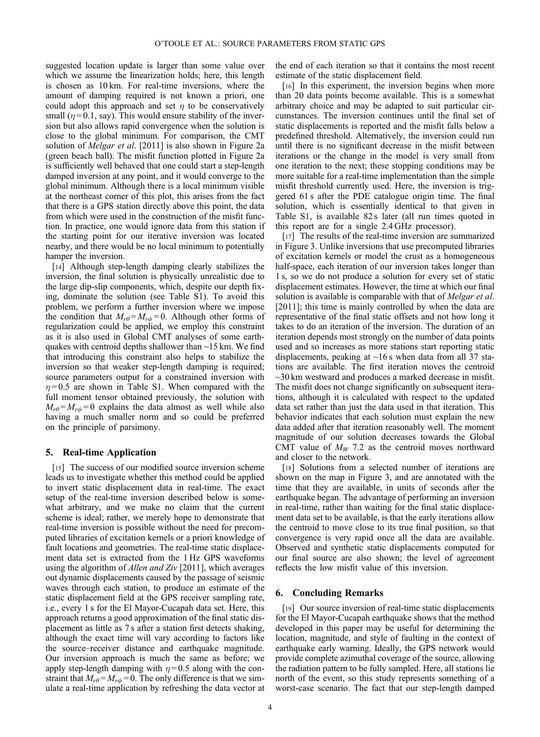suggested location update is larger than some value over which we assume the linearization holds; here, this length is chosen as 10 km. For real-time inversions, where the amount of damping required is not known a priori, one could adopt this approach and set  $\eta$  to be conservatively small ( $\eta$ =0.1, say). This would ensure stability of the inversion but also allows rapid convergence when the solution is close to the global minimum. For comparison, the CMT solution of *Melgar et al.* [2011] is also shown in Figure 2a (green beach ball). The misfit function plotted in Figure 2a is sufficiently well behaved that one could start a step-length damped inversion at any point, and it would converge to the global minimum. Although there is a local minimum visible at the northeast corner of this plot, this arises from the fact that there is a GPS station directly above this point, the data from which were used in the construction of the misfit function. In practice, one would ignore data from this station if the starting point for our iterative inversion was located nearby, and there would be no local minimum to potentially hamper the inversion.

[14] Although step-length damping clearly stabilizes the inversion, the final solution is physically unrealistic due to the large dip-slip components, which, despite our depth fixing, dominate the solution (see Table S1). To avoid this problem, we perform a further inversion where we impose the condition that  $M_{r\theta} = M_{r\phi} = 0$ . Although other forms of regularization could be applied, we employ this constraint as it is also used in Global CMT analyses of some earthquakes with centroid depths shallower than ~15 km. We find that introducing this constraint also helps to stabilize the inversion so that weaker step-length damping is required; source parameters output for a constrained inversion with  $\eta = 0.5$  are shown in Table S1. When compared with the full moment tensor obtained previously, the solution with  $M_{r\theta} = M_{r\phi} = 0$  explains the data almost as well while also having a much smaller norm and so could be preferred on the principle of parsimony.

#### 5. Real-time Application

[15] The success of our modified source inversion scheme leads us to investigate whether this method could be applied to invert static displacement data in real-time. The exact setup of the real-time inversion described below is somewhat arbitrary, and we make no claim that the current scheme is ideal; rather, we merely hope to demonstrate that real-time inversion is possible without the need for precomputed libraries of excitation kernels or a priori knowledge of fault locations and geometries. The real-time static displacement data set is extracted from the 1 Hz GPS waveforms using the algorithm of Allen and Ziv [2011], which averages out dynamic displacements caused by the passage of seismic waves through each station, to produce an estimate of the static displacement field at the GPS receiver sampling rate, i.e., every 1 s for the El Mayor-Cucapah data set. Here, this approach returns a good approximation of the final static displacement as little as 7 s after a station first detects shaking, although the exact time will vary according to factors like the source–receiver distance and earthquake magnitude. Our inversion approach is much the same as before; we apply step-length damping with  $\eta = 0.5$  along with the constraint that  $M_{r\theta} = M_{r\phi} = 0$ . The only difference is that we simulate a real-time application by refreshing the data vector at the end of each iteration so that it contains the most recent estimate of the static displacement field.

[16] In this experiment, the inversion begins when more than 20 data points become available. This is a somewhat arbitrary choice and may be adapted to suit particular circumstances. The inversion continues until the final set of static displacements is reported and the misfit falls below a predefined threshold. Alternatively, the inversion could run until there is no significant decrease in the misfit between iterations or the change in the model is very small from one iteration to the next; these stopping conditions may be more suitable for a real-time implementation than the simple misfit threshold currently used. Here, the inversion is triggered 61 s after the PDE catalogue origin time. The final solution, which is essentially identical to that given in Table S1, is available 82 s later (all run times quoted in this report are for a single 2.4 GHz processor).

[17] The results of the real-time inversion are summarized in Figure 3. Unlike inversions that use precomputed libraries of excitation kernels or model the crust as a homogeneous half-space, each iteration of our inversion takes longer than 1 s, so we do not produce a solution for every set of static displacement estimates. However, the time at which our final solution is available is comparable with that of *Melgar et al.* [2011]; this time is mainly controlled by when the data are representative of the final static offsets and not how long it takes to do an iteration of the inversion. The duration of an iteration depends most strongly on the number of data points used and so increases as more stations start reporting static displacements, peaking at  $\sim$ 16 s when data from all 37 stations are available. The first iteration moves the centroid ~30 km westward and produces a marked decrease in misfit. The misfit does not change significantly on subsequent iterations, although it is calculated with respect to the updated data set rather than just the data used in that iteration. This behavior indicates that each solution must explain the new data added after that iteration reasonably well. The moment magnitude of our solution decreases towards the Global CMT value of  $M_W$  7.2 as the centroid moves northward and closer to the network.

[18] Solutions from a selected number of iterations are shown on the map in Figure 3, and are annotated with the time that they are available, in units of seconds after the earthquake began. The advantage of performing an inversion in real-time, rather than waiting for the final static displacement data set to be available, is that the early iterations allow the centroid to move close to its true final position, so that convergence is very rapid once all the data are available. Observed and synthetic static displacements computed for our final source are also shown; the level of agreement reflects the low misfit value of this inversion.

## 6. Concluding Remarks

[19] Our source inversion of real-time static displacements for the El Mayor-Cucapah earthquake shows that the method developed in this paper may be useful for determining the location, magnitude, and style of faulting in the context of earthquake early warning. Ideally, the GPS network would provide complete azimuthal coverage of the source, allowing the radiation pattern to be fully sampled. Here, all stations lie north of the event, so this study represents something of a worst-case scenario. The fact that our step-length damped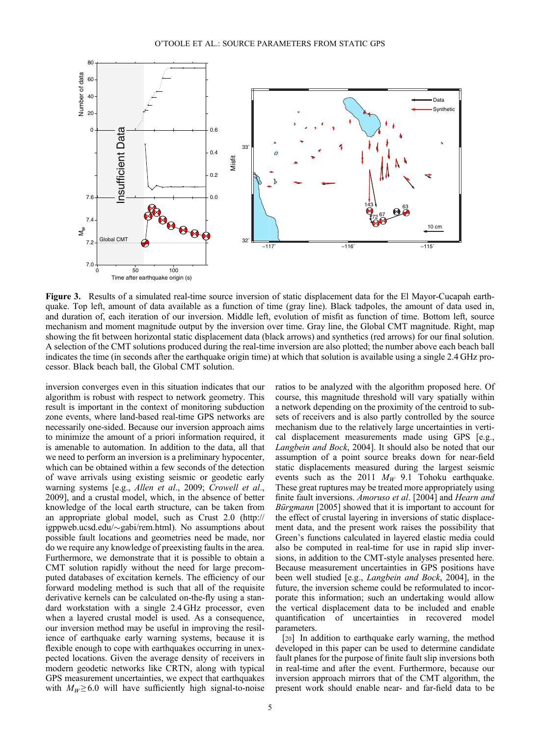

Figure 3. Results of a simulated real-time source inversion of static displacement data for the El Mayor-Cucapah earthquake. Top left, amount of data available as a function of time (gray line). Black tadpoles, the amount of data used in, and duration of, each iteration of our inversion. Middle left, evolution of misfit as function of time. Bottom left, source mechanism and moment magnitude output by the inversion over time. Gray line, the Global CMT magnitude. Right, map showing the fit between horizontal static displacement data (black arrows) and synthetics (red arrows) for our final solution. A selection of the CMT solutions produced during the real-time inversion are also plotted; the number above each beach ball indicates the time (in seconds after the earthquake origin time) at which that solution is available using a single 2.4 GHz processor. Black beach ball, the Global CMT solution.

inversion converges even in this situation indicates that our algorithm is robust with respect to network geometry. This result is important in the context of monitoring subduction zone events, where land-based real-time GPS networks are necessarily one-sided. Because our inversion approach aims to minimize the amount of a priori information required, it is amenable to automation. In addition to the data, all that we need to perform an inversion is a preliminary hypocenter, which can be obtained within a few seconds of the detection of wave arrivals using existing seismic or geodetic early warning systems [e.g., Allen et al., 2009; Crowell et al., 2009], and a crustal model, which, in the absence of better knowledge of the local earth structure, can be taken from an appropriate global model, such as Crust 2.0 [\(http://](http://igppweb.ucsd.edu/~gabi/rem.html) [igppweb.ucsd.edu/](http://igppweb.ucsd.edu/~gabi/rem.html) $\sim$ [gabi/rem.html](http://igppweb.ucsd.edu/~gabi/rem.html)). No assumptions about possible fault locations and geometries need be made, nor do we require any knowledge of preexisting faults in the area. Furthermore, we demonstrate that it is possible to obtain a CMT solution rapidly without the need for large precomputed databases of excitation kernels. The efficiency of our forward modeling method is such that all of the requisite derivative kernels can be calculated on-the-fly using a standard workstation with a single 2.4 GHz processor, even when a layered crustal model is used. As a consequence, our inversion method may be useful in improving the resilience of earthquake early warning systems, because it is flexible enough to cope with earthquakes occurring in unexpected locations. Given the average density of receivers in modern geodetic networks like CRTN, along with typical GPS measurement uncertainties, we expect that earthquakes with  $M_W \ge 6.0$  will have sufficiently high signal-to-noise

ratios to be analyzed with the algorithm proposed here. Of course, this magnitude threshold will vary spatially within a network depending on the proximity of the centroid to subsets of receivers and is also partly controlled by the source mechanism due to the relatively large uncertainties in vertical displacement measurements made using GPS [e.g., Langbein and Bock, 2004]. It should also be noted that our assumption of a point source breaks down for near-field static displacements measured during the largest seismic events such as the 2011  $M_W$  9.1 Tohoku earthquake. These great ruptures may be treated more appropriately using finite fault inversions. Amoruso et al. [2004] and Hearn and Bürgmann [2005] showed that it is important to account for the effect of crustal layering in inversions of static displacement data, and the present work raises the possibility that Green's functions calculated in layered elastic media could also be computed in real-time for use in rapid slip inversions, in addition to the CMT-style analyses presented here. Because measurement uncertainties in GPS positions have been well studied [e.g., Langbein and Bock, 2004], in the future, the inversion scheme could be reformulated to incorporate this information; such an undertaking would allow the vertical displacement data to be included and enable quantification of uncertainties in recovered model parameters.

[20] In addition to earthquake early warning, the method developed in this paper can be used to determine candidate fault planes for the purpose of finite fault slip inversions both in real-time and after the event. Furthermore, because our inversion approach mirrors that of the CMT algorithm, the present work should enable near- and far-field data to be